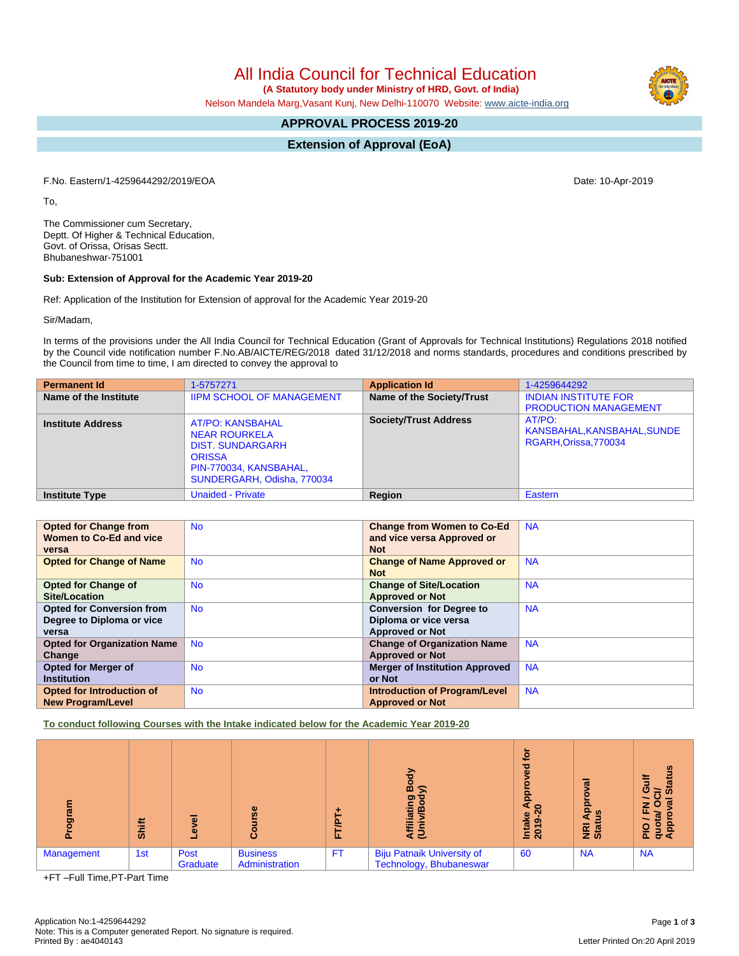All India Council for Technical Education

 **(A Statutory body under Ministry of HRD, Govt. of India)**

Nelson Mandela Marg,Vasant Kunj, New Delhi-110070 Website: www.aicte-india.org

# **APPROVAL PROCESS 2019-20**

**Extension of Approval (EoA)**

F.No. Eastern/1-4259644292/2019/EOA Date: 10-Apr-2019

To,

The Commissioner cum Secretary, Deptt. Of Higher & Technical Education, Govt. of Orissa, Orisas Sectt. Bhubaneshwar-751001

### **Sub: Extension of Approval for the Academic Year 2019-20**

Ref: Application of the Institution for Extension of approval for the Academic Year 2019-20

Sir/Madam,

In terms of the provisions under the All India Council for Technical Education (Grant of Approvals for Technical Institutions) Regulations 2018 notified by the Council vide notification number F.No.AB/AICTE/REG/2018 dated 31/12/2018 and norms standards, procedures and conditions prescribed by the Council from time to time, I am directed to convey the approval to

| <b>Permanent Id</b>      | 1-5757271                                                                                                                                           | <b>Application Id</b>        | 1-4259644292                                                 |
|--------------------------|-----------------------------------------------------------------------------------------------------------------------------------------------------|------------------------------|--------------------------------------------------------------|
| Name of the Institute    | <b>IIPM SCHOOL OF MANAGEMENT</b>                                                                                                                    | Name of the Society/Trust    | <b>INDIAN INSTITUTE FOR</b><br><b>PRODUCTION MANAGEMENT</b>  |
| <b>Institute Address</b> | <b>AT/PO: KANSBAHAL</b><br><b>NEAR ROURKELA</b><br><b>DIST. SUNDARGARH</b><br><b>ORISSA</b><br>PIN-770034, KANSBAHAL,<br>SUNDERGARH, Odisha, 770034 | <b>Society/Trust Address</b> | AT/PO:<br>KANSBAHAL, KANSBAHAL, SUNDE<br>RGARH.Orissa.770034 |
| <b>Institute Type</b>    | <b>Unaided - Private</b>                                                                                                                            | Region                       | Eastern                                                      |

| <b>Opted for Change from</b>       | <b>No</b> | <b>Change from Women to Co-Ed</b>     | <b>NA</b> |
|------------------------------------|-----------|---------------------------------------|-----------|
| Women to Co-Ed and vice            |           | and vice versa Approved or            |           |
| versa                              |           | <b>Not</b>                            |           |
| <b>Opted for Change of Name</b>    | <b>No</b> | <b>Change of Name Approved or</b>     | <b>NA</b> |
|                                    |           | <b>Not</b>                            |           |
| <b>Opted for Change of</b>         | <b>No</b> | <b>Change of Site/Location</b>        | <b>NA</b> |
| Site/Location                      |           | <b>Approved or Not</b>                |           |
| <b>Opted for Conversion from</b>   | <b>No</b> | <b>Conversion for Degree to</b>       | <b>NA</b> |
| Degree to Diploma or vice          |           | Diploma or vice versa                 |           |
| versa                              |           | <b>Approved or Not</b>                |           |
| <b>Opted for Organization Name</b> | <b>No</b> | <b>Change of Organization Name</b>    | <b>NA</b> |
| Change                             |           | <b>Approved or Not</b>                |           |
| <b>Opted for Merger of</b>         | <b>No</b> | <b>Merger of Institution Approved</b> | <b>NA</b> |
| <b>Institution</b>                 |           | or Not                                |           |
| Opted for Introduction of          | No.       | <b>Introduction of Program/Level</b>  | <b>NA</b> |
| <b>New Program/Level</b>           |           | <b>Approved or Not</b>                |           |

**To conduct following Courses with the Intake indicated below for the Academic Year 2019-20**

| ā          | Shift | $\overline{\bullet}$<br>۵ | 9S.<br>යි                         | È<br>ш.   | m<br>≲<br>ත<br>ē<br>₹ē                                       | ē<br>g<br>ą<br>$\circ$<br><b>Intake</b><br>2019-2 | हु<br>۰<br>윤<br><b>SD</b><br><b>E</b> at | <b>Status</b><br>ပ<br>≃<br>w<br>z<br>$\circ$<br>ш.<br>geb<br>Pap<br>o<br>ᇍ |
|------------|-------|---------------------------|-----------------------------------|-----------|--------------------------------------------------------------|---------------------------------------------------|------------------------------------------|----------------------------------------------------------------------------|
| Management | 1st   | Post<br>Graduate          | <b>Business</b><br>Administration | <b>FT</b> | <b>Biju Patnaik University of</b><br>Technology, Bhubaneswar | 60                                                | <b>NA</b>                                | <b>NA</b>                                                                  |

+FT –Full Time,PT-Part Time

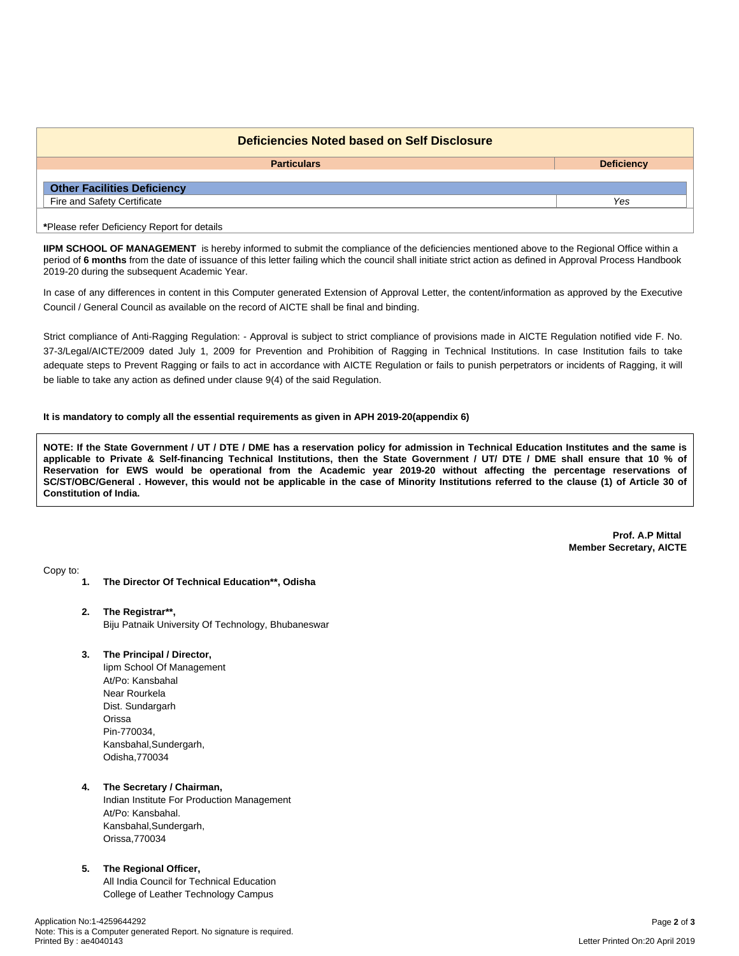| Deficiencies Noted based on Self Disclosure |                   |  |  |  |
|---------------------------------------------|-------------------|--|--|--|
| <b>Particulars</b>                          | <b>Deficiency</b> |  |  |  |
| <b>Other Facilities Deficiency</b>          |                   |  |  |  |
| Fire and Safety Certificate                 | Yes               |  |  |  |
| *Please refer Deficiency Report for details |                   |  |  |  |

**IIPM SCHOOL OF MANAGEMENT** is hereby informed to submit the compliance of the deficiencies mentioned above to the Regional Office within a period of 6 months from the date of issuance of this letter failing which the council shall initiate strict action as defined in Approval Process Handbook 2019-20 during the subsequent Academic Year.

In case of any differences in content in this Computer generated Extension of Approval Letter, the content/information as approved by the Executive Council / General Council as available on the record of AICTE shall be final and binding.

Strict compliance of Anti-Ragging Regulation: - Approval is subject to strict compliance of provisions made in AICTE Regulation notified vide F. No. 37-3/Legal/AICTE/2009 dated July 1, 2009 for Prevention and Prohibition of Ragging in Technical Institutions. In case Institution fails to take adequate steps to Prevent Ragging or fails to act in accordance with AICTE Regulation or fails to punish perpetrators or incidents of Ragging, it will be liable to take any action as defined under clause 9(4) of the said Regulation.

### **It is mandatory to comply all the essential requirements as given in APH 2019-20(appendix 6)**

NOTE: If the State Government / UT / DTE / DME has a reservation policy for admission in Technical Education Institutes and the same is applicable to Private & Self-financing Technical Institutions, then the State Government / UT/ DTE / DME shall ensure that 10 % of Reservation for EWS would be operational from the Academic year 2019-20 without affecting the percentage reservations of SC/ST/OBC/General . However, this would not be applicable in the case of Minority Institutions referred to the clause (1) of Article 30 of **Constitution of India.**

> **Prof. A.P Mittal Member Secretary, AICTE**

Copy to:

- **1. The Director Of Technical Education\*\*, Odisha**
- **2. The Registrar\*\*,** Biju Patnaik University Of Technology, Bhubaneswar
- **3. The Principal / Director,**

Iipm School Of Management At/Po: Kansbahal Near Rourkela Dist. Sundargarh Orissa Pin-770034, Kansbahal,Sundergarh, Odisha,770034

### **4. The Secretary / Chairman,**

Indian Institute For Production Management At/Po: Kansbahal. Kansbahal,Sundergarh, Orissa,770034

#### **5. The Regional Officer,**

All India Council for Technical Education College of Leather Technology Campus